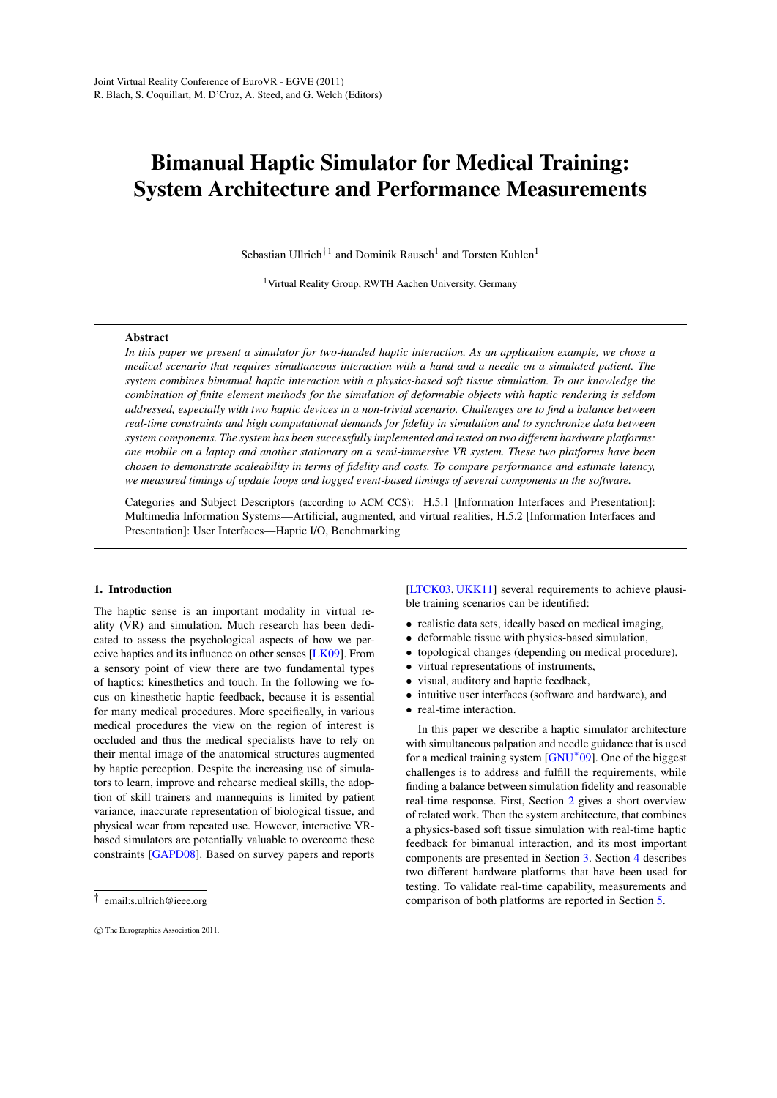# <span id="page-0-0"></span>Bimanual Haptic Simulator for Medical Training: System Architecture and Performance Measurements

Sebastian Ullrich<sup>†1</sup> and Dominik Rausch<sup>1</sup> and Torsten Kuhlen<sup>1</sup>

<sup>1</sup> Virtual Reality Group, RWTH Aachen University, Germany

# Abstract

*In this paper we present a simulator for two-handed haptic interaction. As an application example, we chose a medical scenario that requires simultaneous interaction with a hand and a needle on a simulated patient. The system combines bimanual haptic interaction with a physics-based soft tissue simulation. To our knowledge the combination of finite element methods for the simulation of deformable objects with haptic rendering is seldom addressed, especially with two haptic devices in a non-trivial scenario. Challenges are to find a balance between real-time constraints and high computational demands for fidelity in simulation and to synchronize data between system components. The system has been successfully implemented and tested on two different hardware platforms: one mobile on a laptop and another stationary on a semi-immersive VR system. These two platforms have been chosen to demonstrate scaleability in terms of fidelity and costs. To compare performance and estimate latency, we measured timings of update loops and logged event-based timings of several components in the software.*

Categories and Subject Descriptors (according to ACM CCS): H.5.1 [Information Interfaces and Presentation]: Multimedia Information Systems—Artificial, augmented, and virtual realities, H.5.2 [Information Interfaces and Presentation]: User Interfaces—Haptic I/O, Benchmarking

#### 1. Introduction

The haptic sense is an important modality in virtual reality (VR) and simulation. Much research has been dedicated to assess the psychological aspects of how we perceive haptics and its influence on other senses [\[LK09\]](#page-7-0). From a sensory point of view there are two fundamental types of haptics: kinesthetics and touch. In the following we focus on kinesthetic haptic feedback, because it is essential for many medical procedures. More specifically, in various medical procedures the view on the region of interest is occluded and thus the medical specialists have to rely on their mental image of the anatomical structures augmented by haptic perception. Despite the increasing use of simulators to learn, improve and rehearse medical skills, the adoption of skill trainers and mannequins is limited by patient variance, inaccurate representation of biological tissue, and physical wear from repeated use. However, interactive VRbased simulators are potentially valuable to overcome these constraints [\[GAPD08\]](#page-7-1). Based on survey papers and reports [\[LTCK03,](#page-7-2) [UKK11\]](#page-7-3) several requirements to achieve plausible training scenarios can be identified:

- realistic data sets, ideally based on medical imaging,
- deformable tissue with physics-based simulation,
- topological changes (depending on medical procedure),
- virtual representations of instruments,
- visual, auditory and haptic feedback,
- intuitive user interfaces (software and hardware), and
- real-time interaction.

In this paper we describe a haptic simulator architecture with simultaneous palpation and needle guidance that is used for a medical training system [\[GNU](#page-7-4)<sup>∗</sup> 09]. One of the biggest challenges is to address and fulfill the requirements, while finding a balance between simulation fidelity and reasonable real-time response. First, Section [2](#page-1-0) gives a short overview of related work. Then the system architecture, that combines a physics-based soft tissue simulation with real-time haptic feedback for bimanual interaction, and its most important components are presented in Section [3.](#page-1-1) Section [4](#page-4-0) describes two different hardware platforms that have been used for testing. To validate real-time capability, measurements and comparison of both platforms are reported in Section [5.](#page-5-0)

<sup>†</sup> email:s.ullrich@ieee.org

c The Eurographics Association 2011.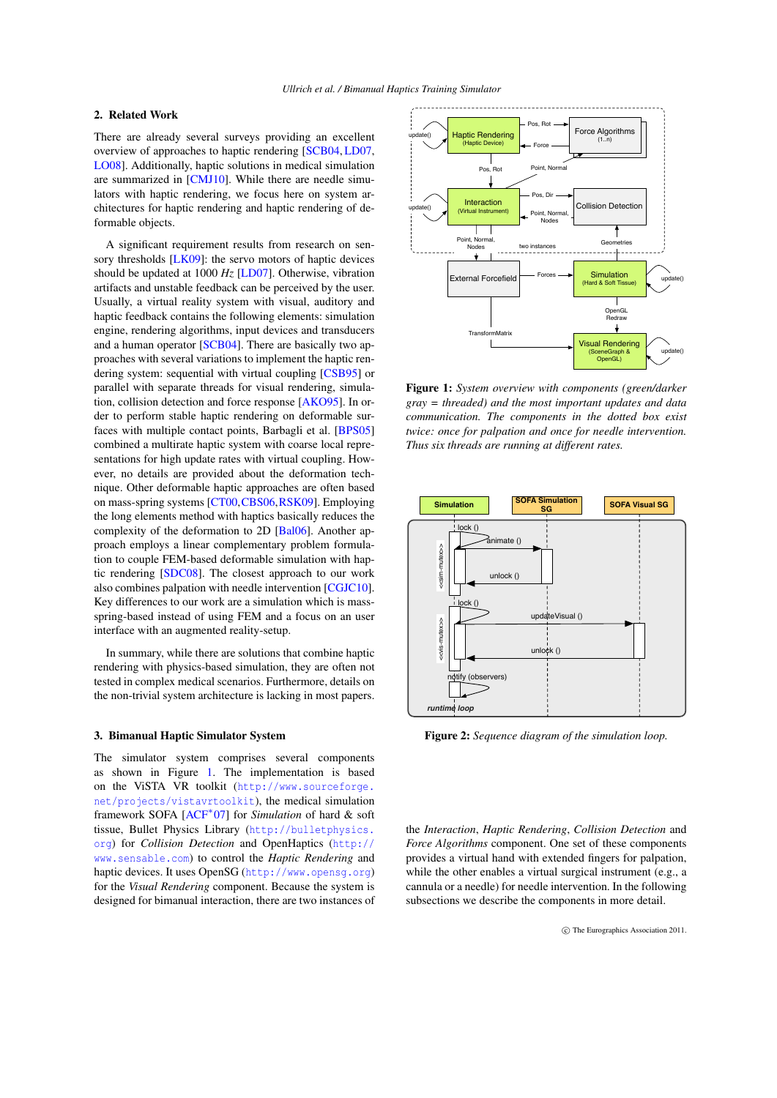# <span id="page-1-4"></span><span id="page-1-0"></span>2. Related Work

There are already several surveys providing an excellent overview of approaches to haptic rendering [\[SCB04,](#page-7-5) [LD07,](#page-7-6) [LO08\]](#page-7-7). Additionally, haptic solutions in medical simulation are summarized in [\[CMJ10\]](#page-7-8). While there are needle simulators with haptic rendering, we focus here on system architectures for haptic rendering and haptic rendering of deformable objects.

A significant requirement results from research on sen-sory thresholds [\[LK09\]](#page-7-0): the servo motors of haptic devices should be updated at 1000 *Hz* [\[LD07\]](#page-7-6). Otherwise, vibration artifacts and unstable feedback can be perceived by the user. Usually, a virtual reality system with visual, auditory and haptic feedback contains the following elements: simulation engine, rendering algorithms, input devices and transducers and a human operator [\[SCB04\]](#page-7-5). There are basically two approaches with several variations to implement the haptic rendering system: sequential with virtual coupling [\[CSB95\]](#page-7-9) or parallel with separate threads for visual rendering, simulation, collision detection and force response [\[AKO95\]](#page-7-10). In order to perform stable haptic rendering on deformable surfaces with multiple contact points, Barbagli et al. [\[BPS05\]](#page-7-11) combined a multirate haptic system with coarse local representations for high update rates with virtual coupling. However, no details are provided about the deformation technique. Other deformable haptic approaches are often based on mass-spring systems [\[CT00,](#page-7-12)[CBS06,](#page-7-13)[RSK09\]](#page-7-14). Employing the long elements method with haptics basically reduces the complexity of the deformation to 2D [\[Bal06\]](#page-7-15). Another approach employs a linear complementary problem formulation to couple FEM-based deformable simulation with haptic rendering [\[SDC08\]](#page-7-16). The closest approach to our work also combines palpation with needle intervention [\[CGJC10\]](#page-7-17). Key differences to our work are a simulation which is massspring-based instead of using FEM and a focus on an user interface with an augmented reality-setup.

In summary, while there are solutions that combine haptic rendering with physics-based simulation, they are often not tested in complex medical scenarios. Furthermore, details on the non-trivial system architecture is lacking in most papers.

# <span id="page-1-1"></span>3. Bimanual Haptic Simulator System

The simulator system comprises several components as shown in Figure [1.](#page-1-2) The implementation is based on the ViSTA VR toolkit ([http://www.sourceforge.](http://www.sourceforge.net/projects/vistavrtoolkit) [net/projects/vistavrtoolkit](http://www.sourceforge.net/projects/vistavrtoolkit)), the medical simulation framework SOFA [\[ACF](#page-7-18)<sup>∗</sup> 07] for *Simulation* of hard & soft tissue, Bullet Physics Library ([http://bulletphysics.](http://bulletphysics.org) [org](http://bulletphysics.org)) for *Collision Detection* and OpenHaptics ([http://](http://www.sensable.com) [www.sensable.com](http://www.sensable.com)) to control the *Haptic Rendering* and haptic devices. It uses OpenSG (<http://www.opensg.org>) for the *Visual Rendering* component. Because the system is designed for bimanual interaction, there are two instances of



<span id="page-1-2"></span>Figure 1: *System overview with components (green/darker gray = threaded) and the most important updates and data communication. The components in the dotted box exist twice: once for palpation and once for needle intervention. Thus six threads are running at different rates.*



<span id="page-1-3"></span>Figure 2: *Sequence diagram of the simulation loop.*

the *Interaction*, *Haptic Rendering*, *Collision Detection* and *Force Algorithms* component. One set of these components provides a virtual hand with extended fingers for palpation, while the other enables a virtual surgical instrument (e.g., a cannula or a needle) for needle intervention. In the following subsections we describe the components in more detail.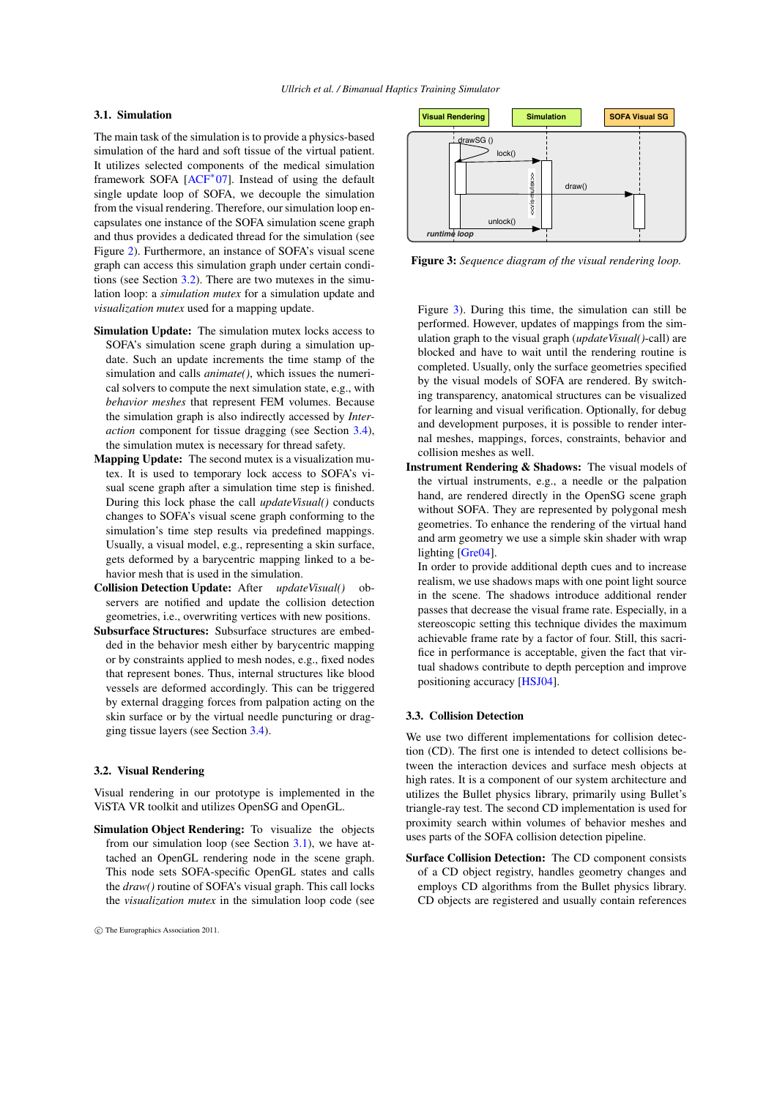# <span id="page-2-4"></span><span id="page-2-1"></span>3.1. Simulation

The main task of the simulation is to provide a physics-based simulation of the hard and soft tissue of the virtual patient. It utilizes selected components of the medical simulation framework SOFA [\[ACF](#page-7-18)<sup>\*</sup>07]. Instead of using the default single update loop of SOFA, we decouple the simulation from the visual rendering. Therefore, our simulation loop encapsulates one instance of the SOFA simulation scene graph and thus provides a dedicated thread for the simulation (see Figure [2\)](#page-1-3). Furthermore, an instance of SOFA's visual scene graph can access this simulation graph under certain conditions (see Section [3.2\)](#page-2-0). There are two mutexes in the simulation loop: a *simulation mutex* for a simulation update and *visualization mutex* used for a mapping update.

- Simulation Update: The simulation mutex locks access to SOFA's simulation scene graph during a simulation update. Such an update increments the time stamp of the simulation and calls *animate()*, which issues the numerical solvers to compute the next simulation state, e.g., with *behavior meshes* that represent FEM volumes. Because the simulation graph is also indirectly accessed by *Interaction* component for tissue dragging (see Section [3.4\)](#page-3-0), the simulation mutex is necessary for thread safety.
- Mapping Update: The second mutex is a visualization mutex. It is used to temporary lock access to SOFA's visual scene graph after a simulation time step is finished. During this lock phase the call *updateVisual()* conducts changes to SOFA's visual scene graph conforming to the simulation's time step results via predefined mappings. Usually, a visual model, e.g., representing a skin surface, gets deformed by a barycentric mapping linked to a behavior mesh that is used in the simulation.
- Collision Detection Update: After *updateVisual()* observers are notified and update the collision detection geometries, i.e., overwriting vertices with new positions.
- Subsurface Structures: Subsurface structures are embedded in the behavior mesh either by barycentric mapping or by constraints applied to mesh nodes, e.g., fixed nodes that represent bones. Thus, internal structures like blood vessels are deformed accordingly. This can be triggered by external dragging forces from palpation acting on the skin surface or by the virtual needle puncturing or dragging tissue layers (see Section [3.4\)](#page-3-0).

### <span id="page-2-0"></span>3.2. Visual Rendering

Visual rendering in our prototype is implemented in the ViSTA VR toolkit and utilizes OpenSG and OpenGL.

Simulation Object Rendering: To visualize the objects from our simulation loop (see Section  $3.1$ ), we have attached an OpenGL rendering node in the scene graph. This node sets SOFA-specific OpenGL states and calls the *draw()* routine of SOFA's visual graph. This call locks the *visualization mutex* in the simulation loop code (see



<span id="page-2-2"></span>Figure 3: *Sequence diagram of the visual rendering loop.*

Figure [3\)](#page-2-2). During this time, the simulation can still be performed. However, updates of mappings from the simulation graph to the visual graph (*updateVisual()*-call) are blocked and have to wait until the rendering routine is completed. Usually, only the surface geometries specified by the visual models of SOFA are rendered. By switching transparency, anatomical structures can be visualized for learning and visual verification. Optionally, for debug and development purposes, it is possible to render internal meshes, mappings, forces, constraints, behavior and collision meshes as well.

Instrument Rendering & Shadows: The visual models of the virtual instruments, e.g., a needle or the palpation hand, are rendered directly in the OpenSG scene graph without SOFA. They are represented by polygonal mesh geometries. To enhance the rendering of the virtual hand and arm geometry we use a simple skin shader with wrap lighting [\[Gre04\]](#page-7-19).

In order to provide additional depth cues and to increase realism, we use shadows maps with one point light source in the scene. The shadows introduce additional render passes that decrease the visual frame rate. Especially, in a stereoscopic setting this technique divides the maximum achievable frame rate by a factor of four. Still, this sacrifice in performance is acceptable, given the fact that virtual shadows contribute to depth perception and improve positioning accuracy [\[HSJ04\]](#page-7-20).

#### <span id="page-2-3"></span>3.3. Collision Detection

We use two different implementations for collision detection (CD). The first one is intended to detect collisions between the interaction devices and surface mesh objects at high rates. It is a component of our system architecture and utilizes the Bullet physics library, primarily using Bullet's triangle-ray test. The second CD implementation is used for proximity search within volumes of behavior meshes and uses parts of the SOFA collision detection pipeline.

Surface Collision Detection: The CD component consists of a CD object registry, handles geometry changes and employs CD algorithms from the Bullet physics library. CD objects are registered and usually contain references

c The Eurographics Association 2011.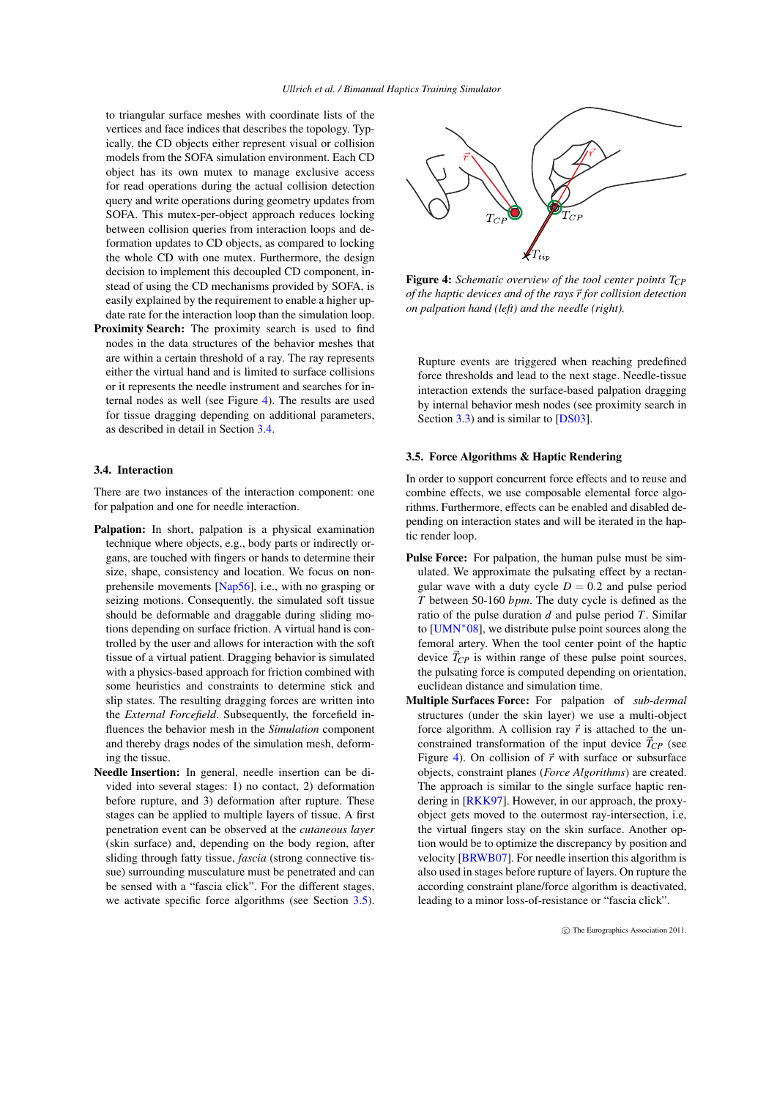<span id="page-3-3"></span>to triangular surface meshes with coordinate lists of the vertices and face indices that describes the topology. Typically, the CD objects either represent visual or collision models from the SOFA simulation environment. Each CD object has its own mutex to manage exclusive access for read operations during the actual collision detection query and write operations during geometry updates from SOFA. This mutex-per-object approach reduces locking between collision queries from interaction loops and deformation updates to CD objects, as compared to locking the whole CD with one mutex. Furthermore, the design decision to implement this decoupled CD component, instead of using the CD mechanisms provided by SOFA, is easily explained by the requirement to enable a higher update rate for the interaction loop than the simulation loop.

Proximity Search: The proximity search is used to find nodes in the data structures of the behavior meshes that are within a certain threshold of a ray. The ray represents either the virtual hand and is limited to surface collisions or it represents the needle instrument and searches for internal nodes as well (see Figure [4\)](#page-3-1). The results are used for tissue dragging depending on additional parameters, as described in detail in Section [3.4.](#page-3-0)

#### <span id="page-3-0"></span>3.4. Interaction

There are two instances of the interaction component: one for palpation and one for needle interaction.

- Palpation: In short, palpation is a physical examination technique where objects, e.g., body parts or indirectly organs, are touched with fingers or hands to determine their size, shape, consistency and location. We focus on nonprehensile movements [\[Nap56\]](#page-7-21), i.e., with no grasping or seizing motions. Consequently, the simulated soft tissue should be deformable and draggable during sliding motions depending on surface friction. A virtual hand is controlled by the user and allows for interaction with the soft tissue of a virtual patient. Dragging behavior is simulated with a physics-based approach for friction combined with some heuristics and constraints to determine stick and slip states. The resulting dragging forces are written into the *External Forcefield*. Subsequently, the forcefield influences the behavior mesh in the *Simulation* component and thereby drags nodes of the simulation mesh, deforming the tissue.
- Needle Insertion: In general, needle insertion can be divided into several stages: 1) no contact, 2) deformation before rupture, and 3) deformation after rupture. These stages can be applied to multiple layers of tissue. A first penetration event can be observed at the *cutaneous layer* (skin surface) and, depending on the body region, after sliding through fatty tissue, *fascia* (strong connective tissue) surrounding musculature must be penetrated and can be sensed with a "fascia click". For the different stages, we activate specific force algorithms (see Section [3.5\)](#page-3-2).



<span id="page-3-1"></span>Figure 4: *Schematic overview of the tool center points TCP of the haptic devices and of the rays*~*r for collision detection on palpation hand (left) and the needle (right).*

Rupture events are triggered when reaching predefined force thresholds and lead to the next stage. Needle-tissue interaction extends the surface-based palpation dragging by internal behavior mesh nodes (see proximity search in Section [3.3\)](#page-2-3) and is similar to [\[DS03\]](#page-7-22).

#### <span id="page-3-2"></span>3.5. Force Algorithms & Haptic Rendering

In order to support concurrent force effects and to reuse and combine effects, we use composable elemental force algorithms. Furthermore, effects can be enabled and disabled depending on interaction states and will be iterated in the haptic render loop.

- Pulse Force: For palpation, the human pulse must be simulated. We approximate the pulsating effect by a rectangular wave with a duty cycle  $D = 0.2$  and pulse period *T* between 50-160 *bpm*. The duty cycle is defined as the ratio of the pulse duration *d* and pulse period *T*. Similar to  $[UMN<sup>*</sup>08]$  $[UMN<sup>*</sup>08]$ , we distribute pulse point sources along the femoral artery. When the tool center point of the haptic device  $\vec{T}_{CP}$  is within range of these pulse point sources, the pulsating force is computed depending on orientation, euclidean distance and simulation time.
- Multiple Surfaces Force: For palpation of *sub-dermal* structures (under the skin layer) we use a multi-object force algorithm. A collision ray  $\vec{r}$  is attached to the unconstrained transformation of the input device  $\vec{T}_{CP}$  (see Figure [4\)](#page-3-1). On collision of  $\vec{r}$  with surface or subsurface objects, constraint planes (*Force Algorithms*) are created. The approach is similar to the single surface haptic rendering in [\[RKK97\]](#page-7-24). However, in our approach, the proxyobject gets moved to the outermost ray-intersection, i.e, the virtual fingers stay on the skin surface. Another option would be to optimize the discrepancy by position and velocity [\[BRWB07\]](#page-7-25). For needle insertion this algorithm is also used in stages before rupture of layers. On rupture the according constraint plane/force algorithm is deactivated, leading to a minor loss-of-resistance or "fascia click".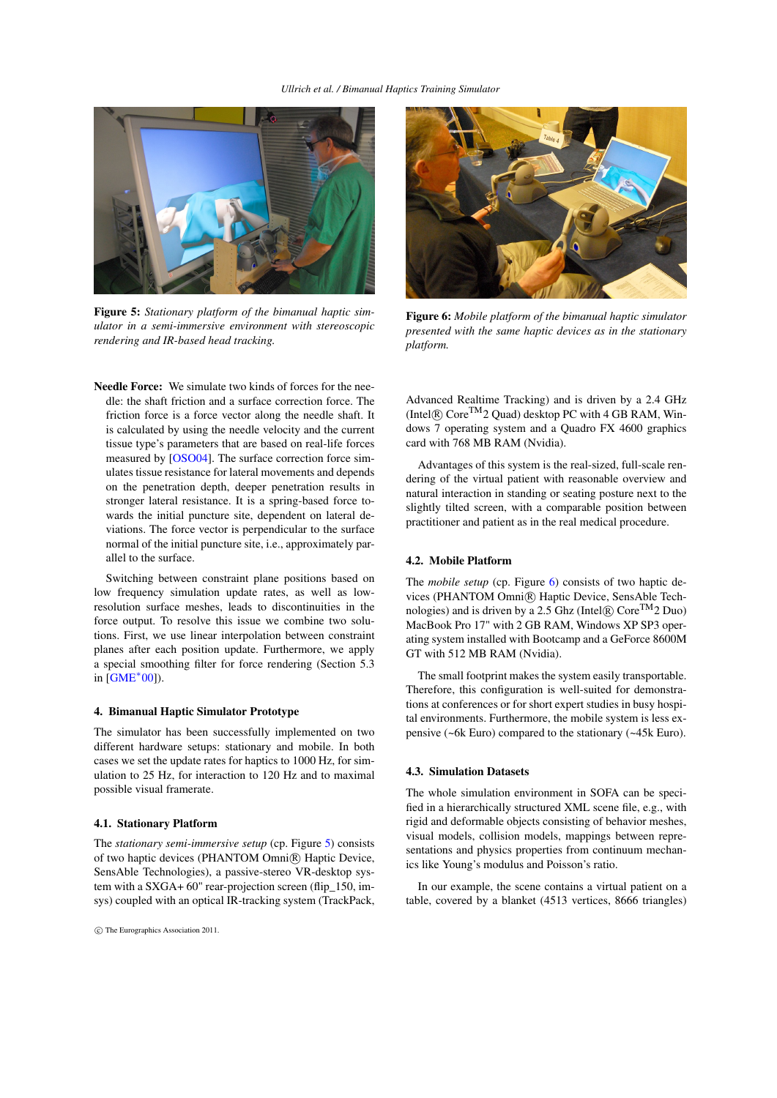<span id="page-4-3"></span>

Figure 5: *Stationary platform of the bimanual haptic simulator in a semi-immersive environment with stereoscopic rendering and IR-based head tracking.*

<span id="page-4-1"></span>Needle Force: We simulate two kinds of forces for the needle: the shaft friction and a surface correction force. The friction force is a force vector along the needle shaft. It is calculated by using the needle velocity and the current tissue type's parameters that are based on real-life forces measured by [\[OSO04\]](#page-7-26). The surface correction force simulates tissue resistance for lateral movements and depends on the penetration depth, deeper penetration results in stronger lateral resistance. It is a spring-based force towards the initial puncture site, dependent on lateral deviations. The force vector is perpendicular to the surface normal of the initial puncture site, i.e., approximately parallel to the surface.

Switching between constraint plane positions based on low frequency simulation update rates, as well as lowresolution surface meshes, leads to discontinuities in the force output. To resolve this issue we combine two solutions. First, we use linear interpolation between constraint planes after each position update. Furthermore, we apply a special smoothing filter for force rendering (Section 5.3 in [\[GME](#page-7-27)<sup>∗</sup> 00]).

#### <span id="page-4-0"></span>4. Bimanual Haptic Simulator Prototype

The simulator has been successfully implemented on two different hardware setups: stationary and mobile. In both cases we set the update rates for haptics to 1000 Hz, for simulation to 25 Hz, for interaction to 120 Hz and to maximal possible visual framerate.

## 4.1. Stationary Platform

The *stationary semi-immersive setup* (cp. Figure [5\)](#page-4-1) consists of two haptic devices (PHANTOM Omni®) Haptic Device, SensAble Technologies), a passive-stereo VR-desktop system with a SXGA+ 60" rear-projection screen (flip\_150, imsys) coupled with an optical IR-tracking system (TrackPack,



Figure 6: *Mobile platform of the bimanual haptic simulator presented with the same haptic devices as in the stationary platform.*

<span id="page-4-2"></span>Advanced Realtime Tracking) and is driven by a 2.4 GHz  $(Intel(R) Core<sup>TM</sup>2 Quad) desktop PC with 4 GB RAM, Win$ dows 7 operating system and a Quadro FX 4600 graphics card with 768 MB RAM (Nvidia).

Advantages of this system is the real-sized, full-scale rendering of the virtual patient with reasonable overview and natural interaction in standing or seating posture next to the slightly tilted screen, with a comparable position between practitioner and patient as in the real medical procedure.

#### 4.2. Mobile Platform

The *mobile setup* (cp. Figure [6\)](#page-4-2) consists of two haptic devices (PHANTOM Omni $\circledR$ ) Haptic Device, SensAble Technologies) and is driven by a 2.5 Ghz (Intel $\circledR$ ) Core<sup>TM</sup>2 Duo) MacBook Pro 17" with 2 GB RAM, Windows XP SP3 operating system installed with Bootcamp and a GeForce 8600M GT with 512 MB RAM (Nvidia).

The small footprint makes the system easily transportable. Therefore, this configuration is well-suited for demonstrations at conferences or for short expert studies in busy hospital environments. Furthermore, the mobile system is less expensive (~6k Euro) compared to the stationary (~45k Euro).

#### 4.3. Simulation Datasets

The whole simulation environment in SOFA can be specified in a hierarchically structured XML scene file, e.g., with rigid and deformable objects consisting of behavior meshes, visual models, collision models, mappings between representations and physics properties from continuum mechanics like Young's modulus and Poisson's ratio.

In our example, the scene contains a virtual patient on a table, covered by a blanket (4513 vertices, 8666 triangles)

c The Eurographics Association 2011.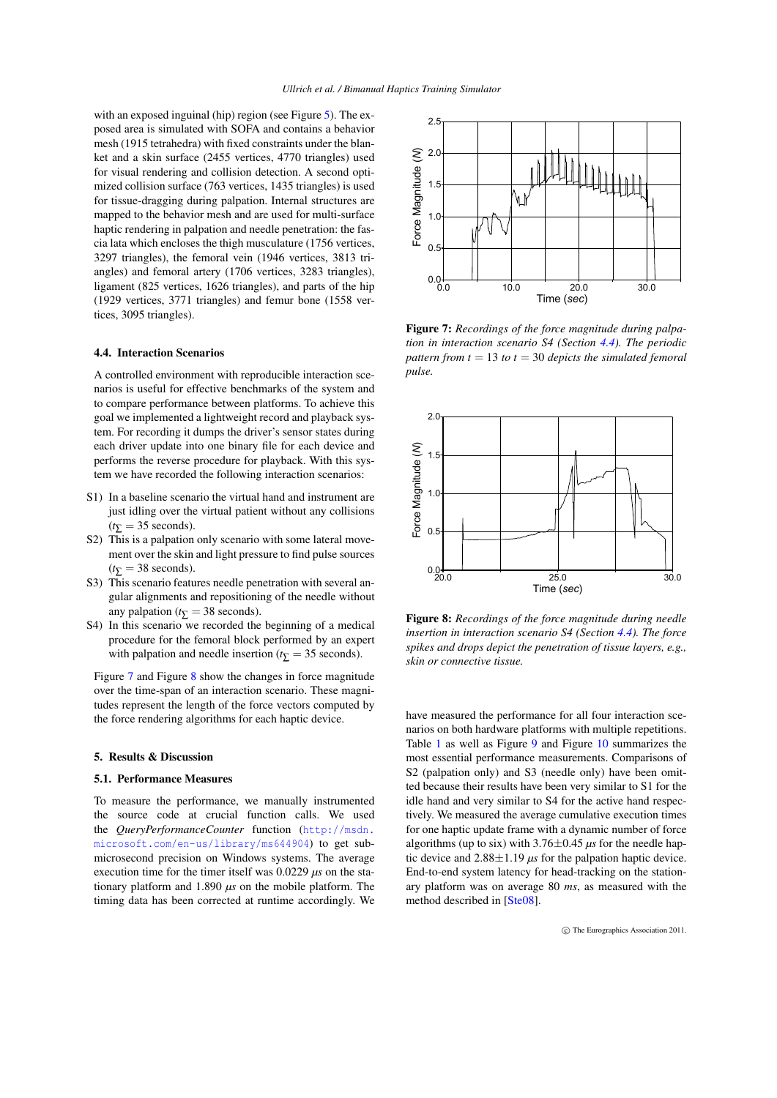<span id="page-5-4"></span>with an exposed inguinal (hip) region (see Figure [5\)](#page-4-1). The exposed area is simulated with SOFA and contains a behavior mesh (1915 tetrahedra) with fixed constraints under the blanket and a skin surface (2455 vertices, 4770 triangles) used for visual rendering and collision detection. A second optimized collision surface (763 vertices, 1435 triangles) is used for tissue-dragging during palpation. Internal structures are mapped to the behavior mesh and are used for multi-surface haptic rendering in palpation and needle penetration: the fascia lata which encloses the thigh musculature (1756 vertices, 3297 triangles), the femoral vein (1946 vertices, 3813 triangles) and femoral artery (1706 vertices, 3283 triangles), ligament (825 vertices, 1626 triangles), and parts of the hip (1929 vertices, 3771 triangles) and femur bone (1558 vertices, 3095 triangles).

# <span id="page-5-3"></span>4.4. Interaction Scenarios

A controlled environment with reproducible interaction scenarios is useful for effective benchmarks of the system and to compare performance between platforms. To achieve this goal we implemented a lightweight record and playback system. For recording it dumps the driver's sensor states during each driver update into one binary file for each device and performs the reverse procedure for playback. With this system we have recorded the following interaction scenarios:

- S1) In a baseline scenario the virtual hand and instrument are just idling over the virtual patient without any collisions  $(t\overline{y}) = 35$  seconds).
- S2) This is a palpation only scenario with some lateral movement over the skin and light pressure to find pulse sources  $(t<sub>∑</sub> = 38$  seconds).
- S3) This scenario features needle penetration with several angular alignments and repositioning of the needle without any palpation ( $t_{\overline{\Sigma}}$  = 38 seconds).
- S4) In this scenario we recorded the beginning of a medical procedure for the femoral block performed by an expert with palpation and needle insertion ( $t<sub>∇</sub> = 35$  seconds).

Figure [7](#page-5-1) and Figure [8](#page-5-2) show the changes in force magnitude over the time-span of an interaction scenario. These magnitudes represent the length of the force vectors computed by the force rendering algorithms for each haptic device.

#### <span id="page-5-0"></span>5. Results & Discussion

# 5.1. Performance Measures

To measure the performance, we manually instrumented the source code at crucial function calls. We used the *QueryPerformanceCounter* function ([http://msdn.](http://msdn.microsoft.com/en-us/library/ms644904) [microsoft.com/en-us/library/ms644904](http://msdn.microsoft.com/en-us/library/ms644904)) to get submicrosecond precision on Windows systems. The average execution time for the timer itself was 0.0229 *µs* on the stationary platform and 1.890 *µs* on the mobile platform. The timing data has been corrected at runtime accordingly. We



<span id="page-5-1"></span>Figure 7: *Recordings of the force magnitude during palpation in interaction scenario S4 (Section [4.4\)](#page-5-3). The periodic pattern from t* = 13 *to t* = 30 *depicts the simulated femoral pulse.*



<span id="page-5-2"></span>Figure 8: *Recordings of the force magnitude during needle insertion in interaction scenario S4 (Section [4.4\)](#page-5-3). The force spikes and drops depict the penetration of tissue layers, e.g., skin or connective tissue.*

have measured the performance for all four interaction scenarios on both hardware platforms with multiple repetitions. Table [1](#page-6-0) as well as Figure [9](#page-6-1) and Figure [10](#page-6-2) summarizes the most essential performance measurements. Comparisons of S2 (palpation only) and S3 (needle only) have been omitted because their results have been very similar to S1 for the idle hand and very similar to S4 for the active hand respectively. We measured the average cumulative execution times for one haptic update frame with a dynamic number of force algorithms (up to six) with  $3.76 \pm 0.45 \,\mu s$  for the needle haptic device and  $2.88 \pm 1.19 \,\mu s$  for the palpation haptic device. End-to-end system latency for head-tracking on the stationary platform was on average 80 *ms*, as measured with the method described in [\[Ste08\]](#page-7-28).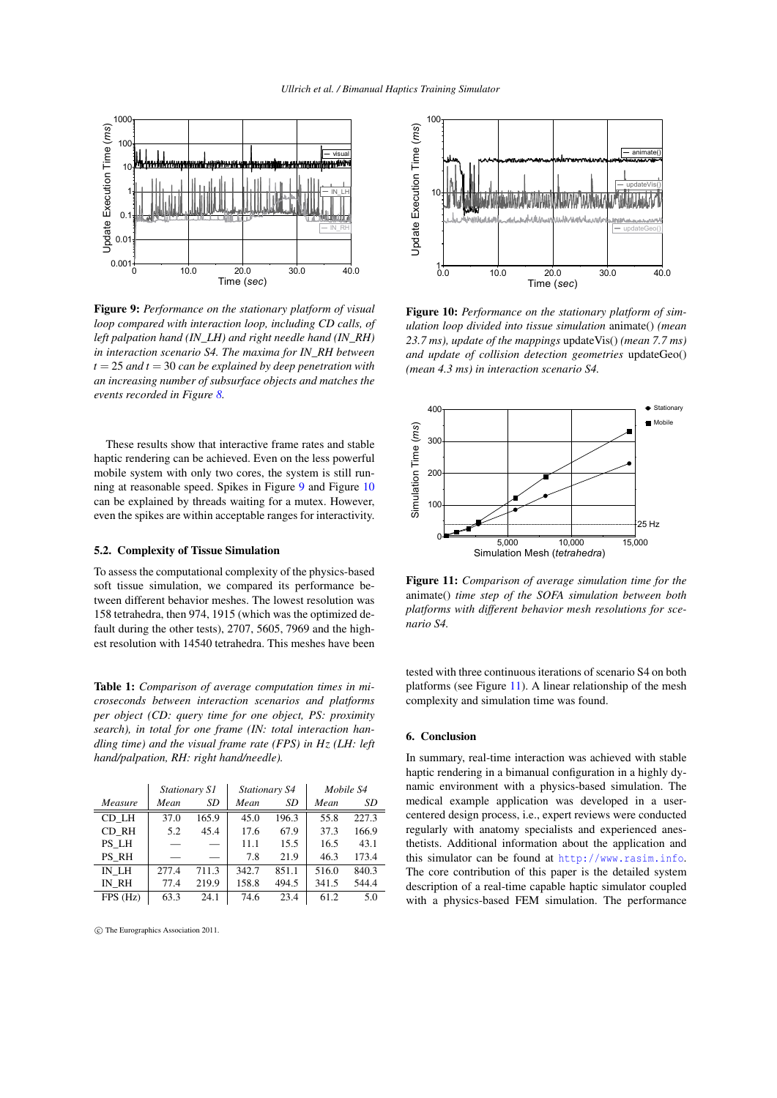

<span id="page-6-1"></span>Figure 9: *Performance on the stationary platform of visual loop compared with interaction loop, including CD calls, of left palpation hand (IN\_LH) and right needle hand (IN\_RH) in interaction scenario S4. The maxima for IN\_RH between t* = 25 *and t* = 30 *can be explained by deep penetration with an increasing number of subsurface objects and matches the events recorded in Figure [8.](#page-5-2)*

These results show that interactive frame rates and stable haptic rendering can be achieved. Even on the less powerful mobile system with only two cores, the system is still running at reasonable speed. Spikes in Figure [9](#page-6-1) and Figure [10](#page-6-2) can be explained by threads waiting for a mutex. However, even the spikes are within acceptable ranges for interactivity.

# 5.2. Complexity of Tissue Simulation

To assess the computational complexity of the physics-based soft tissue simulation, we compared its performance between different behavior meshes. The lowest resolution was 158 tetrahedra, then 974, 1915 (which was the optimized default during the other tests), 2707, 5605, 7969 and the highest resolution with 14540 tetrahedra. This meshes have been

<span id="page-6-0"></span>Table 1: *Comparison of average computation times in microseconds between interaction scenarios and platforms per object (CD: query time for one object, PS: proximity search), in total for one frame (IN: total interaction handling time) and the visual frame rate (FPS) in Hz (LH: left hand/palpation, RH: right hand/needle).*

|         | Stationary S1 |       | Stationary S4 |       | Mobile S4 |       |
|---------|---------------|-------|---------------|-------|-----------|-------|
| Measure | Mean          | SD    | Mean          | SD    | Mean      | SD    |
| CD LH   | 37.0          | 165.9 | 45.0          | 196.3 | 55.8      | 227.3 |
| CD RH   | 5.2           | 45.4  | 17.6          | 67.9  | 37.3      | 166.9 |
| PS LH   |               |       | 11.1          | 15.5  | 16.5      | 43.1  |
| PS RH   |               |       | 7.8           | 21.9  | 46.3      | 173.4 |
| IN LH   | 277.4         | 711.3 | 342.7         | 851.1 | 516.0     | 840.3 |
| IN RH   | 77.4          | 219.9 | 158.8         | 494.5 | 341.5     | 544.4 |
| FPS(Hz) | 63.3          | 24.1  | 74.6          | 23.4  | 61.2      | 5.0   |

c The Eurographics Association 2011.



<span id="page-6-2"></span>Figure 10: *Performance on the stationary platform of simulation loop divided into tissue simulation* animate() *(mean 23.7 ms), update of the mappings* updateVis() *(mean 7.7 ms) and update of collision detection geometries* updateGeo() *(mean 4.3 ms) in interaction scenario S4.*



<span id="page-6-3"></span>Figure 11: *Comparison of average simulation time for the* animate() *time step of the SOFA simulation between both platforms with different behavior mesh resolutions for scenario S4.*

tested with three continuous iterations of scenario S4 on both platforms (see Figure [11\)](#page-6-3). A linear relationship of the mesh complexity and simulation time was found.

# 6. Conclusion

In summary, real-time interaction was achieved with stable haptic rendering in a bimanual configuration in a highly dynamic environment with a physics-based simulation. The medical example application was developed in a usercentered design process, i.e., expert reviews were conducted regularly with anatomy specialists and experienced anesthetists. Additional information about the application and this simulator can be found at <http://www.rasim.info>. The core contribution of this paper is the detailed system description of a real-time capable haptic simulator coupled with a physics-based FEM simulation. The performance